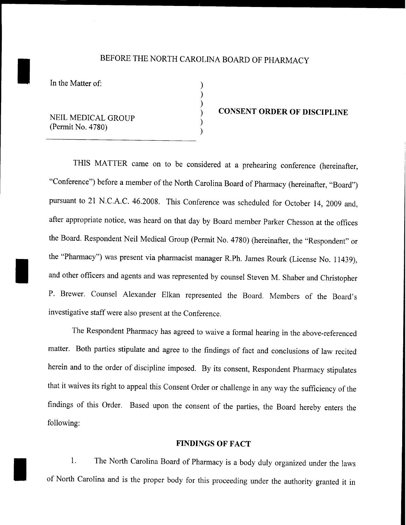# BEFORE THE NORTH CAROLINA BOARD OF PHARMACY<br>In the Matter of:

) ) ) ) ) )

I

I

NEIL MEDICAL GROUP (Permit No. 4780)

#### **CONSENT ORDER OF DISCIPLINE**

THIS MATTER came on to be considered at a prehearing conference (hereinafter, "Conference") before a member of the North Carolina Board of Pharmacy (hereinafter, "Board") pursuant to 21 N.CA.C. 46.2008. This Conference was scheduled for October 14, 2009 and, after appropriate notice, was heard on that day by Board member Parker Chesson at the offices the Board. Respondent Neil Medical Group (Permit No. 4780) (hereinafter, the "Respondent" or the "Pharmacy") was present via pharmacist manager R.Ph. James Rourk (License No. 11439), and other officers and agents and was represented by counsel Steven M. Shaber and Christopher P. Brewer. Counsel Alexander Elkan represented the Board. Members of the Board's investigative staff were also present at the Conference.

The Respondent Pharmacy has agreed to waive a formal hearing in the above-referenced matter. Both parties stipulate and agree to the findings of fact and conclusions of law recited herein and to the order of discipline imposed. By its consent, Respondent Pharmacy stipulates that it waives its right to appeal this Consent Order or challenge in any way the sufficiency of the findings of this Order. Based upon the consent of the parties, the Board hereby enters the following:

#### **FINDINGS OF FACT**

1. The North Carolina Board of Pharmacy is a body duly organized under the laws of North Carolina and is the proper body for this proceeding under the authority granted it in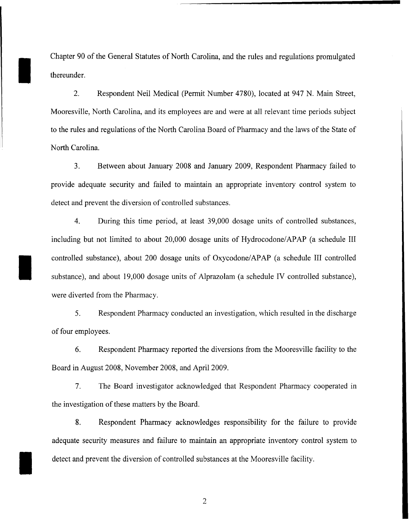Chapter 90 of the General Statutes of North Carolina, and the rules and regulations promulgated thereunder.

I

I

I

2. Respondent Neil Medical (Permit Number 4780), located at 947 N. Main Street, Mooresville, North Carolina, and its employees are and were at all relevant time periods subject to the rules and regulations of the North Carolina Board of Pharmacy and the laws of the State of North Carolina.

3. Between about January 2008 and January 2009, Respondent Pharmacy failed to provide adequate security and failed to maintain an appropriate inventory control system to detect and prevent the diversion of controlled substances.

4. During this time period, at least 39,000 dosage units of controlled substances, including but not limited to about 20,000 dosage units of Hydrocodone/APAP (a schedule III controlled substance), about 200 dosage units of Oxycodone/APAP (a schedule **III** controlled substance), and about 19,000 dosage units of Alprazolam (a schedule IV controlled substance), were diverted from the Pharmacy.

5. Respondent Pharmacy conducted an investigation, which resulted in the discharge of four employees.

6. Respondent Pharmacy reported the diversions from the Mooresville facility to the Board in August 2008, November 2008, and April 2009.

7. The Board investigator acknowledged that Respondent Pharmacy cooperated in the investigation of these matters by the Board.

8. Respondent Pharmacy acknowledges responsibility for the failure to provide adequate security measures and failure to maintain an appropriate inventory control system to detect and prevent the diversion of controlled substances at the Mooresville facility.

 $\overline{2}$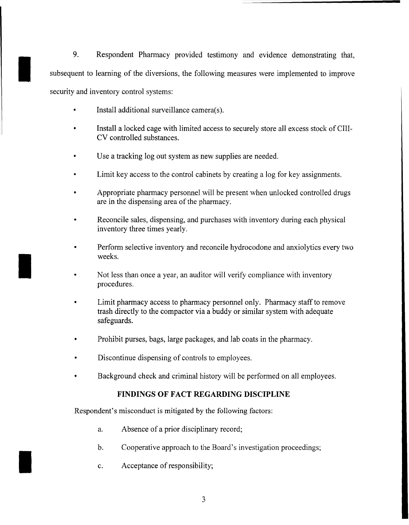9. Respondent Pharmacy provided testimony and evidence demonstrating that,<br>subsequent to learning of the diversions, the following measures were implemented to improve subsequent to learning of the diversions, the following measures were implemented to improve security and inventory control systems:

- Install additional surveillance camera(s).
- Install a locked cage with limited access to securely store all excess stock of CIII-CV controlled substances.
- Use a tracking log out system as new supplies are needed.
- Limit key access to the control cabinets by creating a log for key assignments.
- Appropriate pharmacy personnel will be present when unlocked controlled drugs are in the dispensing area of the pharmacy.
- Reconcile sales, dispensing, and purchases with inventory during each physical inventory three times yearly.
- $\blacksquare$ Perform selective inventory and reconcile hydrocodone and anxiolytics every two weeks.
	- Not less than once a year, an auditor will verify compliance with inventory procedures.
	- Limit pharmacy access to pharmacy personnel only. Pharmacy staff to remove trash directly to the compactor via a buddy or similar system with adequate safeguards.
	- Prohibit purses, bags, large packages, and lab coats in the pharmacy.
	- Discontinue dispensing of controls to employees.
	- Background check and criminal history will be performed on all employees.

### **FINDINGS OF FACT REGARDING DISCIPLINE**

Respondent's misconduct is mitigated by the following factors:

- a. Absence of a prior disciplinary record;
- b. Cooperative approach to the Board's investigation proceedings;
- c. Acceptance of responsibility;

I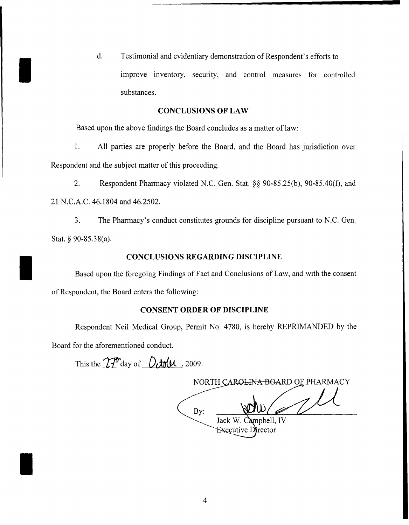d. Testimonial and evidentiary demonstration of Respondent's efforts to<br>improve inventory, security, and control measures for cont improve inventory, security, and control measures for controlled substances.

#### **CONCLUSIONS OF LAW**

Based upon the above findings the Board concludes as a matter of law:

1. All parties are properly before the Board, and the Board has jurisdiction over Respondent and the subject matter of this proceeding.

2. Respondent Pharmacy violated N.C. Gen. Stat. §§ 90-85.25(b), 90-85.40(f), and 21 N.C.A.C. 46.1804 and 46.2502.

3. The Pharmacy's conduct constitutes grounds for discipline pursuant to N.C. Gen. Stat. § 90-85.38(a).

#### **CONCLUSIONS REGARDING DISCIPLINE**

Based upon the foregoing Findings of Fact and Conclusions of Law, and with the consent of Respondent, the Board enters the following:

#### **CONSENT ORDER OF DISCIPLINE**

Respondent Neil Medical Group, Permit No. 4780, is hereby REPRIMANDED by the Board for the aforementioned conduct.

This the  $T_1^{\text{th}}$  day of  $0$ **thu**, 2009.

I

I

NORTH CAROLINA BOARD OF PHARMACY By: Jack W. Campbell, IV Executive Director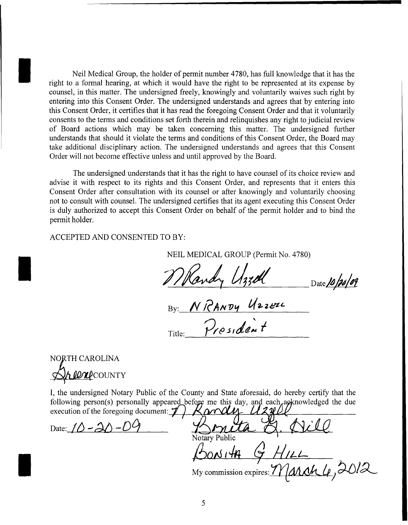Neil Medical Group, the holder of permit number 4780, has full knowledge that it has the right to a formal hearing, at which it would have the right to be represented at its expense by counsel, in this matter. The undersigned freely, knowingly and voluntarily waives such right by entering into this Consent Order. The undersigned understands and agrees that by entering into this Consent Order, it certifies that it has read the foregoing Consent Order and that it voluntarily consents to the terms and conditions set forth therein and relinquishes any right to judicial review of Board actions which may be taken concerning this matter. The undersigned further understands that should it violate the terms and conditions of this Consent Order, the Board may take additional disciplinary action. The undersigned understands and agrees that this Consent Order will not become effective unless and until approved by the Board.

The undersigned understands that it has the right to have counsel of its choice review and advise it with respect to its rights and this Consent Order, and represents that it enters this Consent Order after consultation with its counsel or after knowingly and voluntarily choosing not to consult with counsel. The undersigned certifies that its agent executing this Consent Order is duly authorized to accept this Consent Order on behalf of the permit holder and to bind the permit holder.

ACCEPTED AND CONSENTED TO BY:

NEIL MEDICAL GROUP (Permit No. 4780)

 $\Box$ Date 10/20/09

Title: By: NRANDY Uzzeze  $2$ rpsident

NORTH CAROLINA **LON**COUNTY

I

I

I

I, the undersigned Notary Public of the County and State aforesaid, do hereby certify that the following person(s) personally appeared before me this day, and each a oknowledged the due execution of the foregoing document:  $\mathcal{D}$   $\mathcal{K}$  or  $\mathcal{U}$   $\mathcal{I}$   $\mathcal{U}$ execution of the foregoing document:  $\mathcal V$ 

Date:  $10 - 20 - 09$ 

Notary Public *J60tJ* 1-16. \$ *fflLL-*My commission expires: March 4, 2012